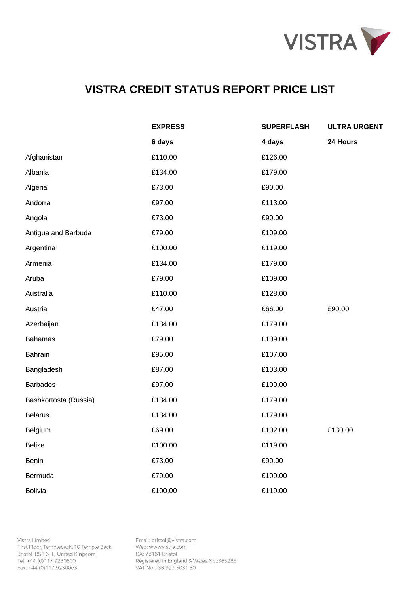

|                       | <b>EXPRESS</b> | <b>SUPERFLASH</b> | <b>ULTRA URGENT</b> |
|-----------------------|----------------|-------------------|---------------------|
|                       | 6 days         | 4 days            | 24 Hours            |
| Afghanistan           | £110.00        | £126.00           |                     |
| Albania               | £134.00        | £179.00           |                     |
| Algeria               | £73.00         | £90.00            |                     |
| Andorra               | £97.00         | £113.00           |                     |
| Angola                | £73.00         | £90.00            |                     |
| Antigua and Barbuda   | £79.00         | £109.00           |                     |
| Argentina             | £100.00        | £119.00           |                     |
| Armenia               | £134.00        | £179.00           |                     |
| Aruba                 | £79.00         | £109.00           |                     |
| Australia             | £110.00        | £128.00           |                     |
| Austria               | £47.00         | £66.00            | £90.00              |
| Azerbaijan            | £134.00        | £179.00           |                     |
| <b>Bahamas</b>        | £79.00         | £109.00           |                     |
| <b>Bahrain</b>        | £95.00         | £107.00           |                     |
| Bangladesh            | £87.00         | £103.00           |                     |
| <b>Barbados</b>       | £97.00         | £109.00           |                     |
| Bashkortosta (Russia) | £134.00        | £179.00           |                     |
| <b>Belarus</b>        | £134.00        | £179.00           |                     |
| Belgium               | £69.00         | £102.00           | £130.00             |
| <b>Belize</b>         | £100.00        | £119.00           |                     |
| Benin                 | £73.00         | £90.00            |                     |
| Bermuda               | £79.00         | £109.00           |                     |
| <b>Bolivia</b>        | £100.00        | £119.00           |                     |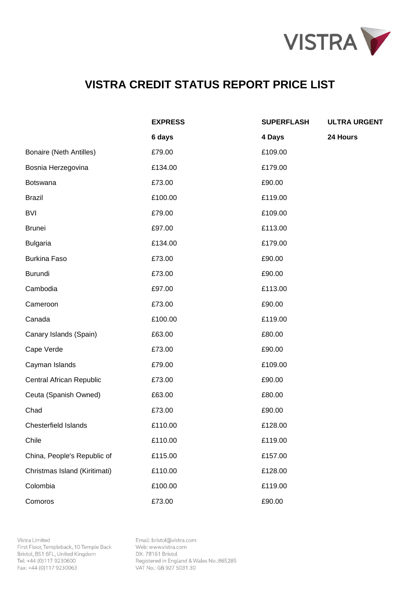

|                                | <b>EXPRESS</b> | <b>SUPERFLASH</b> | <b>ULTRA URGENT</b> |
|--------------------------------|----------------|-------------------|---------------------|
|                                | 6 days         | 4 Days            | 24 Hours            |
| <b>Bonaire (Neth Antilles)</b> | £79.00         | £109.00           |                     |
| Bosnia Herzegovina             | £134.00        | £179.00           |                     |
| Botswana                       | £73.00         | £90.00            |                     |
| <b>Brazil</b>                  | £100.00        | £119.00           |                     |
| <b>BVI</b>                     | £79.00         | £109.00           |                     |
| <b>Brunei</b>                  | £97.00         | £113.00           |                     |
| <b>Bulgaria</b>                | £134.00        | £179.00           |                     |
| <b>Burkina Faso</b>            | £73.00         | £90.00            |                     |
| Burundi                        | £73.00         | £90.00            |                     |
| Cambodia                       | £97.00         | £113.00           |                     |
| Cameroon                       | £73.00         | £90.00            |                     |
| Canada                         | £100.00        | £119.00           |                     |
| Canary Islands (Spain)         | £63.00         | £80.00            |                     |
| Cape Verde                     | £73.00         | £90.00            |                     |
| Cayman Islands                 | £79.00         | £109.00           |                     |
| Central African Republic       | £73.00         | £90.00            |                     |
| Ceuta (Spanish Owned)          | £63.00         | £80.00            |                     |
| Chad                           | £73.00         | £90.00            |                     |
| <b>Chesterfield Islands</b>    | £110.00        | £128.00           |                     |
| Chile                          | £110.00        | £119.00           |                     |
| China, People's Republic of    | £115.00        | £157.00           |                     |
| Christmas Island (Kiritimati)  | £110.00        | £128.00           |                     |
| Colombia                       | £100.00        | £119.00           |                     |
| Comoros                        | £73.00         | £90.00            |                     |

Vistra Limited First Floor, Templeback, 10 Temple Back Bristol, BS1 6FL, United Kingdom Tel: +44 (0)117 9230600 Fax: +44 (0)117 9230063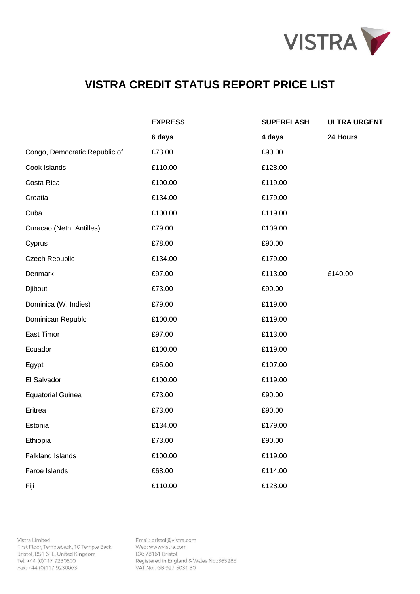

|                               | <b>EXPRESS</b> | <b>SUPERFLASH</b> | <b>ULTRA URGENT</b> |
|-------------------------------|----------------|-------------------|---------------------|
|                               | 6 days         | 4 days            | 24 Hours            |
| Congo, Democratic Republic of | £73.00         | £90.00            |                     |
| Cook Islands                  | £110.00        | £128.00           |                     |
| Costa Rica                    | £100.00        | £119.00           |                     |
| Croatia                       | £134.00        | £179.00           |                     |
| Cuba                          | £100.00        | £119.00           |                     |
| Curacao (Neth. Antilles)      | £79.00         | £109.00           |                     |
| Cyprus                        | £78.00         | £90.00            |                     |
| <b>Czech Republic</b>         | £134.00        | £179.00           |                     |
| Denmark                       | £97.00         | £113.00           | £140.00             |
| Djibouti                      | £73.00         | £90.00            |                     |
| Dominica (W. Indies)          | £79.00         | £119.00           |                     |
| Dominican Republc             | £100.00        | £119.00           |                     |
| East Timor                    | £97.00         | £113.00           |                     |
| Ecuador                       | £100.00        | £119.00           |                     |
| Egypt                         | £95.00         | £107.00           |                     |
| El Salvador                   | £100.00        | £119.00           |                     |
| <b>Equatorial Guinea</b>      | £73.00         | £90.00            |                     |
| Eritrea                       | £73.00         | £90.00            |                     |
| Estonia                       | £134.00        | £179.00           |                     |
| Ethiopia                      | £73.00         | £90.00            |                     |
| <b>Falkland Islands</b>       | £100.00        | £119.00           |                     |
| Faroe Islands                 | £68.00         | £114.00           |                     |
| Fiji                          | £110.00        | £128.00           |                     |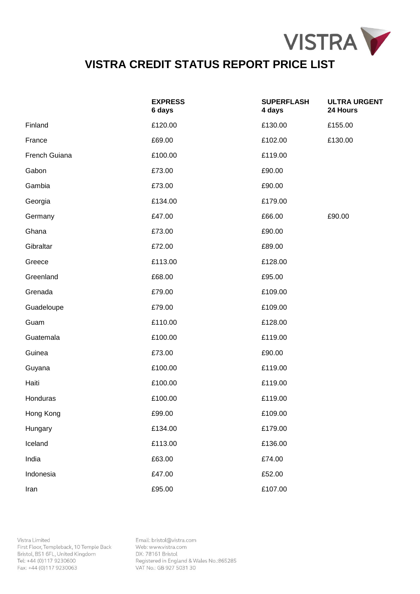

|               | <b>EXPRESS</b><br>6 days | <b>SUPERFLASH</b><br>4 days | <b>ULTRA URGENT</b><br>24 Hours |
|---------------|--------------------------|-----------------------------|---------------------------------|
| Finland       | £120.00                  | £130.00                     | £155.00                         |
| France        | £69.00                   | £102.00                     | £130.00                         |
| French Guiana | £100.00                  | £119.00                     |                                 |
| Gabon         | £73.00                   | £90.00                      |                                 |
| Gambia        | £73.00                   | £90.00                      |                                 |
| Georgia       | £134.00                  | £179.00                     |                                 |
| Germany       | £47.00                   | £66.00                      | £90.00                          |
| Ghana         | £73.00                   | £90.00                      |                                 |
| Gibraltar     | £72.00                   | £89.00                      |                                 |
| Greece        | £113.00                  | £128.00                     |                                 |
| Greenland     | £68.00                   | £95.00                      |                                 |
| Grenada       | £79.00                   | £109.00                     |                                 |
| Guadeloupe    | £79.00                   | £109.00                     |                                 |
| Guam          | £110.00                  | £128.00                     |                                 |
| Guatemala     | £100.00                  | £119.00                     |                                 |
| Guinea        | £73.00                   | £90.00                      |                                 |
| Guyana        | £100.00                  | £119.00                     |                                 |
| Haiti         | £100.00                  | £119.00                     |                                 |
| Honduras      | £100.00                  | £119.00                     |                                 |
| Hong Kong     | £99.00                   | £109.00                     |                                 |
| Hungary       | £134.00                  | £179.00                     |                                 |
| Iceland       | £113.00                  | £136.00                     |                                 |
| India         | £63.00                   | £74.00                      |                                 |
| Indonesia     | £47.00                   | £52.00                      |                                 |
| Iran          | £95.00                   | £107.00                     |                                 |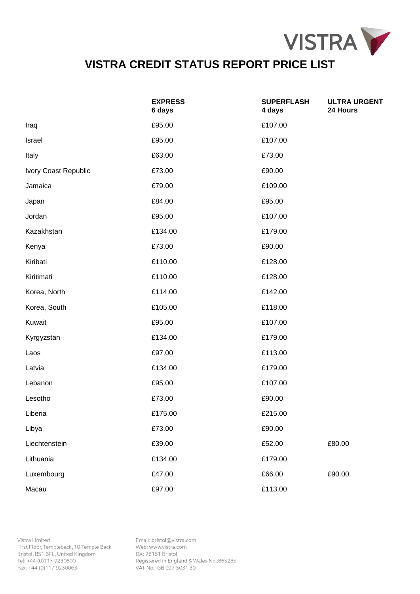

|                      | <b>EXPRESS</b><br>6 days | <b>SUPERFLASH</b><br>4 days | <b>ULTRA URGENT</b><br>24 Hours |
|----------------------|--------------------------|-----------------------------|---------------------------------|
| Iraq                 | £95.00                   | £107.00                     |                                 |
| Israel               | £95.00                   | £107.00                     |                                 |
| Italy                | £63.00                   | £73.00                      |                                 |
| Ivory Coast Republic | £73.00                   | £90.00                      |                                 |
| Jamaica              | £79.00                   | £109.00                     |                                 |
| Japan                | £84.00                   | £95.00                      |                                 |
| Jordan               | £95.00                   | £107.00                     |                                 |
| Kazakhstan           | £134.00                  | £179.00                     |                                 |
| Kenya                | £73.00                   | £90.00                      |                                 |
| Kiribati             | £110.00                  | £128.00                     |                                 |
| Kiritimati           | £110.00                  | £128.00                     |                                 |
| Korea, North         | £114.00                  | £142.00                     |                                 |
| Korea, South         | £105.00                  | £118.00                     |                                 |
| Kuwait               | £95.00                   | £107.00                     |                                 |
| Kyrgyzstan           | £134.00                  | £179.00                     |                                 |
| Laos                 | £97.00                   | £113.00                     |                                 |
| Latvia               | £134.00                  | £179.00                     |                                 |
| Lebanon              | £95.00                   | £107.00                     |                                 |
| Lesotho              | £73.00                   | £90.00                      |                                 |
| Liberia              | £175.00                  | £215.00                     |                                 |
| Libya                | £73.00                   | £90.00                      |                                 |
| Liechtenstein        | £39.00                   | £52.00                      | £80.00                          |
| Lithuania            | £134.00                  | £179.00                     |                                 |
| Luxembourg           | £47.00                   | £66.00                      | £90.00                          |
| Macau                | £97.00                   | £113.00                     |                                 |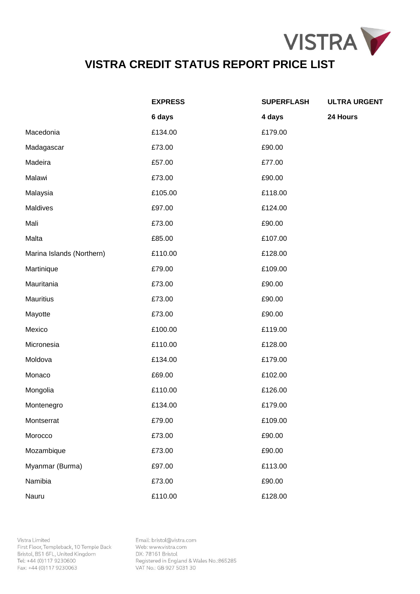

|                           | <b>EXPRESS</b> | <b>SUPERFLASH</b> | <b>ULTRA URGENT</b> |
|---------------------------|----------------|-------------------|---------------------|
|                           | 6 days         | 4 days            | 24 Hours            |
| Macedonia                 | £134.00        | £179.00           |                     |
| Madagascar                | £73.00         | £90.00            |                     |
| Madeira                   | £57.00         | £77.00            |                     |
| Malawi                    | £73.00         | £90.00            |                     |
| Malaysia                  | £105.00        | £118.00           |                     |
| Maldives                  | £97.00         | £124.00           |                     |
| Mali                      | £73.00         | £90.00            |                     |
| Malta                     | £85.00         | £107.00           |                     |
| Marina Islands (Northern) | £110.00        | £128.00           |                     |
| Martinique                | £79.00         | £109.00           |                     |
| Mauritania                | £73.00         | £90.00            |                     |
| <b>Mauritius</b>          | £73.00         | £90.00            |                     |
| Mayotte                   | £73.00         | £90.00            |                     |
| Mexico                    | £100.00        | £119.00           |                     |
| Micronesia                | £110.00        | £128.00           |                     |
| Moldova                   | £134.00        | £179.00           |                     |
| Monaco                    | £69.00         | £102.00           |                     |
| Mongolia                  | £110.00        | £126.00           |                     |
| Montenegro                | £134.00        | £179.00           |                     |
| Montserrat                | £79.00         | £109.00           |                     |
| Morocco                   | £73.00         | £90.00            |                     |
| Mozambique                | £73.00         | £90.00            |                     |
| Myanmar (Burma)           | £97.00         | £113.00           |                     |
| Namibia                   | £73.00         | £90.00            |                     |
| Nauru                     | £110.00        | £128.00           |                     |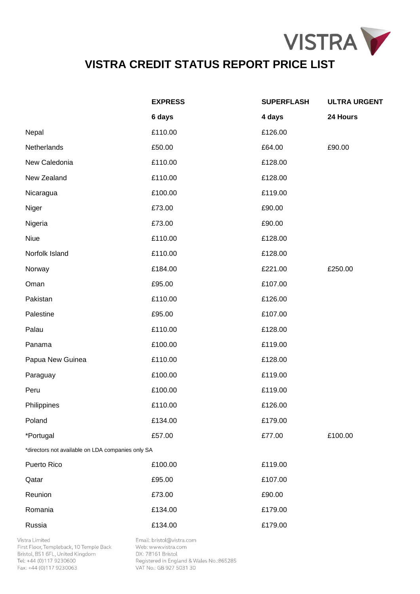

|                                                   | <b>EXPRESS</b> | <b>SUPERFLASH</b> | <b>ULTRA URGENT</b> |
|---------------------------------------------------|----------------|-------------------|---------------------|
|                                                   | 6 days         | 4 days            | 24 Hours            |
| Nepal                                             | £110.00        | £126.00           |                     |
| Netherlands                                       | £50.00         | £64.00            | £90.00              |
| New Caledonia                                     | £110.00        | £128.00           |                     |
| New Zealand                                       | £110.00        | £128.00           |                     |
| Nicaragua                                         | £100.00        | £119.00           |                     |
| Niger                                             | £73.00         | £90.00            |                     |
| Nigeria                                           | £73.00         | £90.00            |                     |
| Niue                                              | £110.00        | £128.00           |                     |
| Norfolk Island                                    | £110.00        | £128.00           |                     |
| Norway                                            | £184.00        | £221.00           | £250.00             |
| Oman                                              | £95.00         | £107.00           |                     |
| Pakistan                                          | £110.00        | £126.00           |                     |
| Palestine                                         | £95.00         | £107.00           |                     |
| Palau                                             | £110.00        | £128.00           |                     |
| Panama                                            | £100.00        | £119.00           |                     |
| Papua New Guinea                                  | £110.00        | £128.00           |                     |
| Paraguay                                          | £100.00        | £119.00           |                     |
| Peru                                              | £100.00        | £119.00           |                     |
| Philippines                                       | £110.00        | £126.00           |                     |
| Poland                                            | £134.00        | £179.00           |                     |
| *Portugal                                         | £57.00         | £77.00            | £100.00             |
| *directors not available on LDA companies only SA |                |                   |                     |
| Puerto Rico                                       | £100.00        | £119.00           |                     |
| Qatar                                             | £95.00         | £107.00           |                     |
| Reunion                                           | £73.00         | £90.00            |                     |
| Romania                                           | £134.00        | £179.00           |                     |
| Russia                                            | £134.00        | £179.00           |                     |

Vistra Limited First Floor, Templeback, 10 Temple Back Bristol, BS1 6FL, United Kingdom Tel: +44 (0)117 9230600 Fax: +44 (0)117 9230063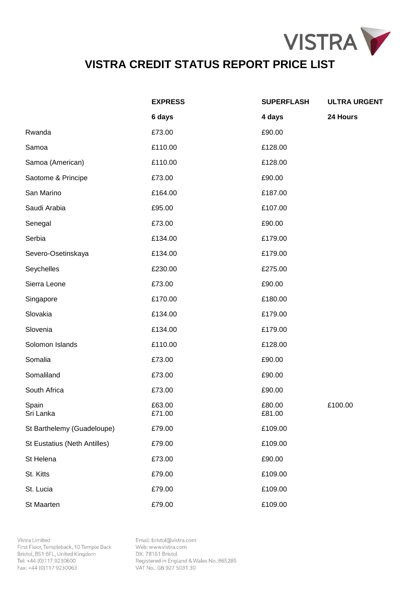

|                              | <b>EXPRESS</b>   | <b>SUPERFLASH</b> | <b>ULTRA URGENT</b> |
|------------------------------|------------------|-------------------|---------------------|
|                              | 6 days           | 4 days            | 24 Hours            |
| Rwanda                       | £73.00           | £90.00            |                     |
| Samoa                        | £110.00          | £128.00           |                     |
| Samoa (American)             | £110.00          | £128.00           |                     |
| Saotome & Principe           | £73.00           | £90.00            |                     |
| San Marino                   | £164.00          | £187.00           |                     |
| Saudi Arabia                 | £95.00           | £107.00           |                     |
| Senegal                      | £73.00           | £90.00            |                     |
| Serbia                       | £134.00          | £179.00           |                     |
| Severo-Osetinskaya           | £134.00          | £179.00           |                     |
| Seychelles                   | £230.00          | £275.00           |                     |
| Sierra Leone                 | £73.00           | £90.00            |                     |
| Singapore                    | £170.00          | £180.00           |                     |
| Slovakia                     | £134.00          | £179.00           |                     |
| Slovenia                     | £134.00          | £179.00           |                     |
| Solomon Islands              | £110.00          | £128.00           |                     |
| Somalia                      | £73.00           | £90.00            |                     |
| Somaliland                   | £73.00           | £90.00            |                     |
| South Africa                 | £73.00           | £90.00            |                     |
| Spain<br>Sri Lanka           | £63.00<br>£71.00 | £80.00<br>£81.00  | £100.00             |
| St Barthelemy (Guadeloupe)   | £79.00           | £109.00           |                     |
| St Eustatius (Neth Antilles) | £79.00           | £109.00           |                     |
| St Helena                    | £73.00           | £90.00            |                     |
| St. Kitts                    | £79.00           | £109.00           |                     |
| St. Lucia                    | £79.00           | £109.00           |                     |
| St Maarten                   | £79.00           | £109.00           |                     |

Vistra Limited First Floor, Templeback, 10 Temple Back Bristol, BS1 6FL, United Kingdom Tel: +44 (0)117 9230600 Fax: +44 (0)117 9230063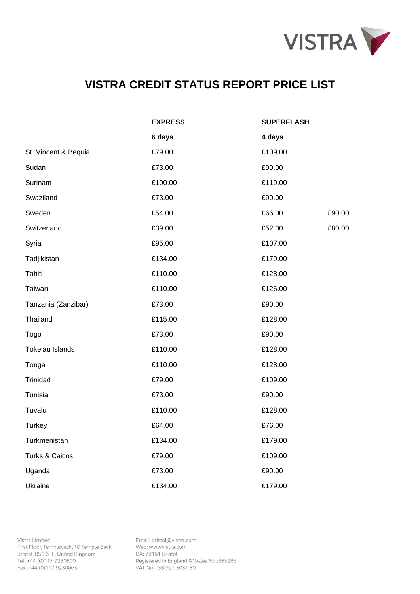

|                           | <b>EXPRESS</b> | <b>SUPERFLASH</b> |
|---------------------------|----------------|-------------------|
|                           | 6 days         | 4 days            |
| St. Vincent & Bequia      | £79.00         | £109.00           |
| Sudan                     | £73.00         | £90.00            |
| Surinam                   | £100.00        | £119.00           |
| Swaziland                 | £73.00         | £90.00            |
| Sweden                    | £54.00         | £66.00<br>£90.00  |
| Switzerland               | £39.00         | £52.00<br>£80.00  |
| Syria                     | £95.00         | £107.00           |
| Tadjikistan               | £134.00        | £179.00           |
| Tahiti                    | £110.00        | £128.00           |
| Taiwan                    | £110.00        | £126.00           |
| Tanzania (Zanzibar)       | £73.00         | £90.00            |
| Thailand                  | £115.00        | £128.00           |
| Togo                      | £73.00         | £90.00            |
| Tokelau Islands           | £110.00        | £128.00           |
| Tonga                     | £110.00        | £128.00           |
| Trinidad                  | £79.00         | £109.00           |
| Tunisia                   | £73.00         | £90.00            |
| Tuvalu                    | £110.00        | £128.00           |
| <b>Turkey</b>             | £64.00         | £76.00            |
| Turkmenistan              | £134.00        | £179.00           |
| <b>Turks &amp; Caicos</b> | £79.00         | £109.00           |
| Uganda                    | £73.00         | £90.00            |
| Ukraine                   | £134.00        | £179.00           |